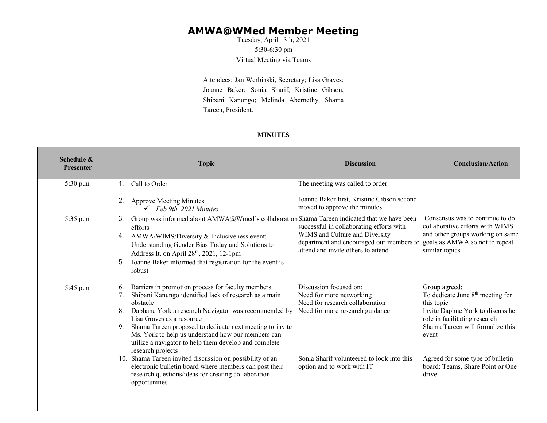## **AMWA@WMed Member Meeting**

Tuesday, April 13th, 2021 5:30-6:30 pm Virtual Meeting via Teams

Attendees: Jan Werbinski, Secretary; Lisa Graves; Joanne Baker; Sonia Sharif, Kristine Gibson, Shibani Kanungo; Melinda Abernethy, Shama Tareen, President.

## **MINUTES**

| Schedule &<br><b>Presenter</b> | <b>Topic</b>                                                                                                                                                                                                                                                                                                                                                                                                                                                                                                                                                                                                                      | <b>Discussion</b>                                                                                                                                                                                    | <b>Conclusion/Action</b>                                                                                                                                                                                                                                                         |
|--------------------------------|-----------------------------------------------------------------------------------------------------------------------------------------------------------------------------------------------------------------------------------------------------------------------------------------------------------------------------------------------------------------------------------------------------------------------------------------------------------------------------------------------------------------------------------------------------------------------------------------------------------------------------------|------------------------------------------------------------------------------------------------------------------------------------------------------------------------------------------------------|----------------------------------------------------------------------------------------------------------------------------------------------------------------------------------------------------------------------------------------------------------------------------------|
| 5:30 p.m.                      | Call to Order<br>1.<br>2.<br><b>Approve Meeting Minutes</b>                                                                                                                                                                                                                                                                                                                                                                                                                                                                                                                                                                       | The meeting was called to order.<br>Joanne Baker first, Kristine Gibson second                                                                                                                       |                                                                                                                                                                                                                                                                                  |
| 5:35 p.m.                      | $\checkmark$ Feb 9th, 2021 Minutes<br>Group was informed about AMWA@Wmed's collaboration Shama Tareen indicated that we have been<br>3.<br>efforts<br>AMWA/WIMS/Diversity & Inclusiveness event:<br>4.<br>Understanding Gender Bias Today and Solutions to<br>Address It. on April 28 <sup>th</sup> , 2021, 12-1pm<br>Joanne Baker informed that registration for the event is<br>5.<br>robust                                                                                                                                                                                                                                    | moved to approve the minutes.<br>successful in collaborating efforts with<br>WIMS and Culture and Diversity<br>department and encouraged our members to<br>attend and invite others to attend        | Consensus was to continue to do<br>collaborative efforts with WIMS<br>and other groups working on same<br>goals as AMWA so not to repeat<br>similar topics                                                                                                                       |
| 5:45 p.m.                      | Barriers in promotion process for faculty members<br>6.<br>Shibani Kanungo identified lack of research as a main<br>7.<br>obstacle<br>Daphane York a research Navigator was recommended by<br>8.<br>Lisa Graves as a resource<br>Shama Tareen proposed to dedicate next meeting to invite<br>9.<br>Ms. York to help us understand how our members can<br>utilize a navigator to help them develop and complete<br>research projects<br>10. Shama Tareen invited discussion on possibility of an<br>electronic bulletin board where members can post their<br>research questions/ideas for creating collaboration<br>opportunities | Discussion focused on:<br>Need for more networking<br>Need for research collaboration<br>Need for more research guidance<br>Sonia Sharif volunteered to look into this<br>option and to work with IT | Group agreed:<br>To dedicate June 8 <sup>th</sup> meeting for<br>this topic<br>Invite Daphne York to discuss her<br>role in facilitating research<br>Shama Tareen will formalize this<br>event<br>Agreed for some type of bulletin<br>board: Teams, Share Point or One<br>drive. |